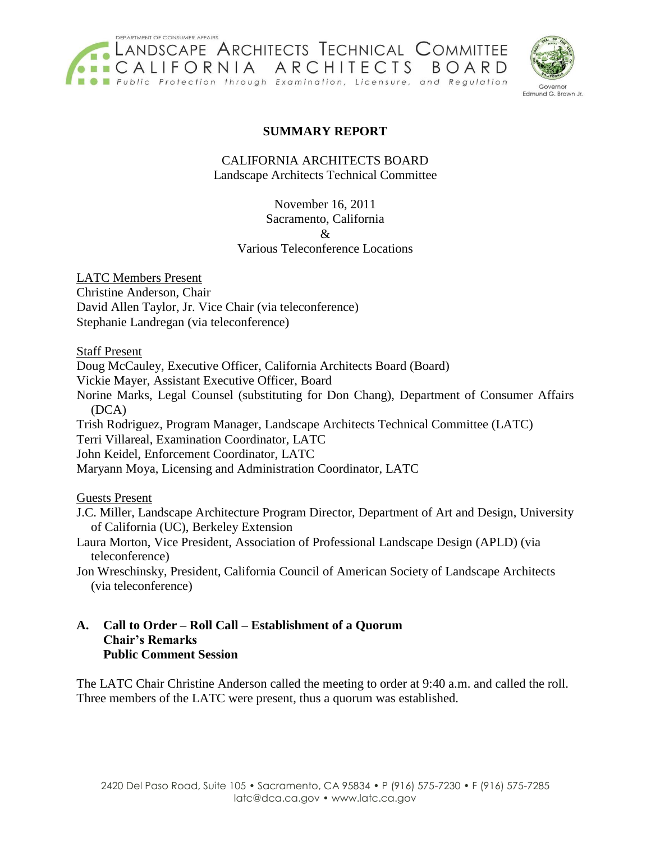



## **SUMMARY REPORT**

CALIFORNIA ARCHITECTS BOARD Landscape Architects Technical Committee

> November 16, 2011 Sacramento, California & Various Teleconference Locations

LATC Members Present Christine Anderson, Chair David Allen Taylor, Jr. Vice Chair (via teleconference) Stephanie Landregan (via teleconference)

Staff Present

Doug McCauley, Executive Officer, California Architects Board (Board) Vickie Mayer, Assistant Executive Officer, Board Norine Marks, Legal Counsel (substituting for Don Chang), Department of Consumer Affairs (DCA) Trish Rodriguez, Program Manager, Landscape Architects Technical Committee (LATC) Terri Villareal, Examination Coordinator, LATC John Keidel, Enforcement Coordinator, LATC

Maryann Moya, Licensing and Administration Coordinator, LATC

Guests Present

J.C. Miller, Landscape Architecture Program Director, Department of Art and Design, University of California (UC), Berkeley Extension

Laura Morton, Vice President, Association of Professional Landscape Design (APLD) (via teleconference)

Jon Wreschinsky, President, California Council of American Society of Landscape Architects (via teleconference)

#### **A. Call to Order – Roll Call – Establishment of a Quorum Chair's Remarks Public Comment Session**

The LATC Chair Christine Anderson called the meeting to order at 9:40 a.m. and called the roll. Three members of the LATC were present, thus a quorum was established.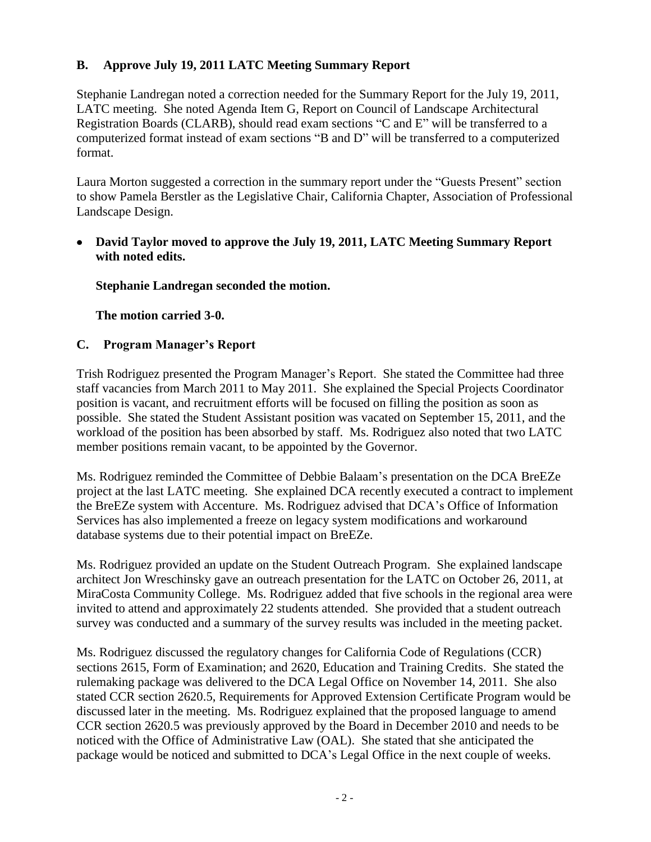# **B. Approve July 19, 2011 LATC Meeting Summary Report**

Stephanie Landregan noted a correction needed for the Summary Report for the July 19, 2011, LATC meeting. She noted Agenda Item G, Report on Council of Landscape Architectural Registration Boards (CLARB), should read exam sections "C and E" will be transferred to a computerized format instead of exam sections "B and D" will be transferred to a computerized format.

Laura Morton suggested a correction in the summary report under the "Guests Present" section to show Pamela Berstler as the Legislative Chair, California Chapter, Association of Professional Landscape Design.

**David Taylor moved to approve the July 19, 2011, LATC Meeting Summary Report with noted edits.**

**Stephanie Landregan seconded the motion.**

**The motion carried 3-0.**

#### **C. Program Manager's Report**

Trish Rodriguez presented the Program Manager's Report. She stated the Committee had three staff vacancies from March 2011 to May 2011. She explained the Special Projects Coordinator position is vacant, and recruitment efforts will be focused on filling the position as soon as possible. She stated the Student Assistant position was vacated on September 15, 2011, and the workload of the position has been absorbed by staff. Ms. Rodriguez also noted that two LATC member positions remain vacant, to be appointed by the Governor.

Ms. Rodriguez reminded the Committee of Debbie Balaam's presentation on the DCA BreEZe project at the last LATC meeting. She explained DCA recently executed a contract to implement the BreEZe system with Accenture. Ms. Rodriguez advised that DCA's Office of Information Services has also implemented a freeze on legacy system modifications and workaround database systems due to their potential impact on BreEZe.

Ms. Rodriguez provided an update on the Student Outreach Program. She explained landscape architect Jon Wreschinsky gave an outreach presentation for the LATC on October 26, 2011, at MiraCosta Community College. Ms. Rodriguez added that five schools in the regional area were invited to attend and approximately 22 students attended. She provided that a student outreach survey was conducted and a summary of the survey results was included in the meeting packet.

Ms. Rodriguez discussed the regulatory changes for California Code of Regulations (CCR) sections 2615, Form of Examination; and 2620, Education and Training Credits. She stated the rulemaking package was delivered to the DCA Legal Office on November 14, 2011. She also stated CCR section 2620.5, Requirements for Approved Extension Certificate Program would be discussed later in the meeting. Ms. Rodriguez explained that the proposed language to amend CCR section 2620.5 was previously approved by the Board in December 2010 and needs to be noticed with the Office of Administrative Law (OAL). She stated that she anticipated the package would be noticed and submitted to DCA's Legal Office in the next couple of weeks.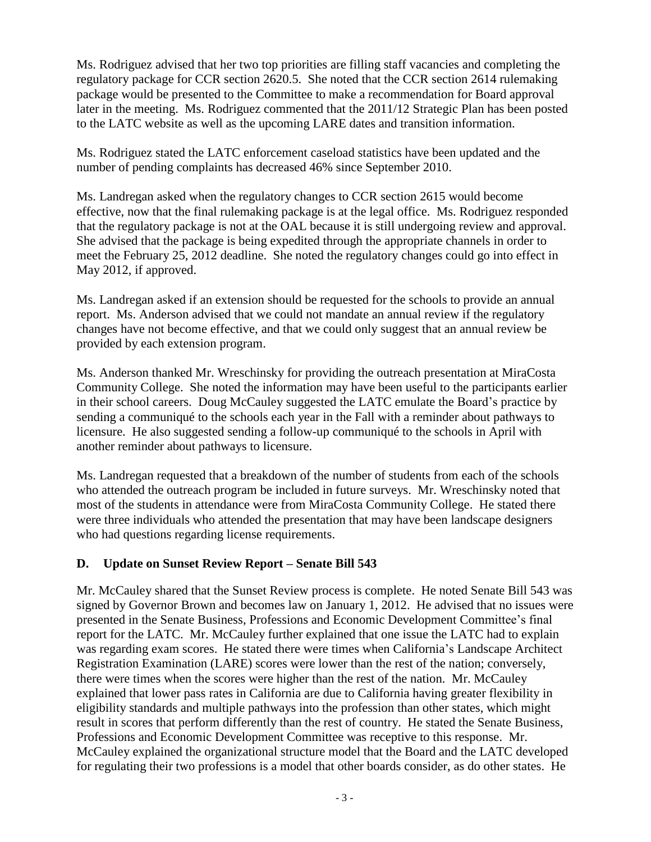Ms. Rodriguez advised that her two top priorities are filling staff vacancies and completing the regulatory package for CCR section 2620.5. She noted that the CCR section 2614 rulemaking package would be presented to the Committee to make a recommendation for Board approval later in the meeting. Ms. Rodriguez commented that the 2011/12 Strategic Plan has been posted to the LATC website as well as the upcoming LARE dates and transition information.

Ms. Rodriguez stated the LATC enforcement caseload statistics have been updated and the number of pending complaints has decreased 46% since September 2010.

Ms. Landregan asked when the regulatory changes to CCR section 2615 would become effective, now that the final rulemaking package is at the legal office. Ms. Rodriguez responded that the regulatory package is not at the OAL because it is still undergoing review and approval. She advised that the package is being expedited through the appropriate channels in order to meet the February 25, 2012 deadline. She noted the regulatory changes could go into effect in May 2012, if approved.

Ms. Landregan asked if an extension should be requested for the schools to provide an annual report. Ms. Anderson advised that we could not mandate an annual review if the regulatory changes have not become effective, and that we could only suggest that an annual review be provided by each extension program.

Ms. Anderson thanked Mr. Wreschinsky for providing the outreach presentation at MiraCosta Community College. She noted the information may have been useful to the participants earlier in their school careers. Doug McCauley suggested the LATC emulate the Board's practice by sending a communiqué to the schools each year in the Fall with a reminder about pathways to licensure. He also suggested sending a follow-up communiqué to the schools in April with another reminder about pathways to licensure.

Ms. Landregan requested that a breakdown of the number of students from each of the schools who attended the outreach program be included in future surveys. Mr. Wreschinsky noted that most of the students in attendance were from MiraCosta Community College. He stated there were three individuals who attended the presentation that may have been landscape designers who had questions regarding license requirements.

#### **D. Update on Sunset Review Report – Senate Bill 543**

Mr. McCauley shared that the Sunset Review process is complete. He noted Senate Bill 543 was signed by Governor Brown and becomes law on January 1, 2012. He advised that no issues were presented in the Senate Business, Professions and Economic Development Committee's final report for the LATC. Mr. McCauley further explained that one issue the LATC had to explain was regarding exam scores. He stated there were times when California's Landscape Architect Registration Examination (LARE) scores were lower than the rest of the nation; conversely, there were times when the scores were higher than the rest of the nation. Mr. McCauley explained that lower pass rates in California are due to California having greater flexibility in eligibility standards and multiple pathways into the profession than other states, which might result in scores that perform differently than the rest of country. He stated the Senate Business, Professions and Economic Development Committee was receptive to this response. Mr. McCauley explained the organizational structure model that the Board and the LATC developed for regulating their two professions is a model that other boards consider, as do other states. He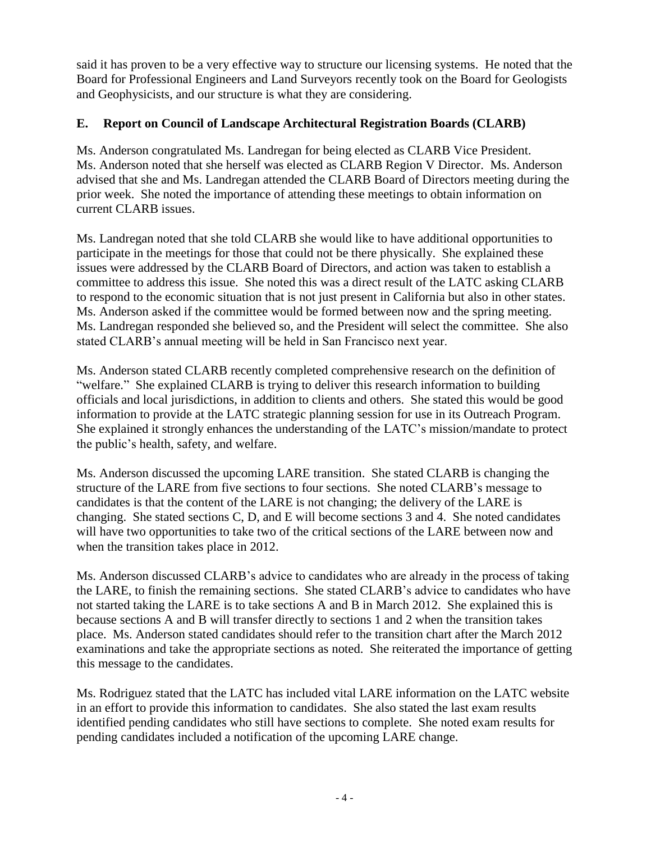said it has proven to be a very effective way to structure our licensing systems. He noted that the Board for Professional Engineers and Land Surveyors recently took on the Board for Geologists and Geophysicists, and our structure is what they are considering.

# **E. Report on Council of Landscape Architectural Registration Boards (CLARB)**

Ms. Anderson congratulated Ms. Landregan for being elected as CLARB Vice President. Ms. Anderson noted that she herself was elected as CLARB Region V Director. Ms. Anderson advised that she and Ms. Landregan attended the CLARB Board of Directors meeting during the prior week. She noted the importance of attending these meetings to obtain information on current CLARB issues.

Ms. Landregan noted that she told CLARB she would like to have additional opportunities to participate in the meetings for those that could not be there physically. She explained these issues were addressed by the CLARB Board of Directors, and action was taken to establish a committee to address this issue. She noted this was a direct result of the LATC asking CLARB to respond to the economic situation that is not just present in California but also in other states. Ms. Anderson asked if the committee would be formed between now and the spring meeting. Ms. Landregan responded she believed so, and the President will select the committee. She also stated CLARB's annual meeting will be held in San Francisco next year.

Ms. Anderson stated CLARB recently completed comprehensive research on the definition of "welfare." She explained CLARB is trying to deliver this research information to building officials and local jurisdictions, in addition to clients and others. She stated this would be good information to provide at the LATC strategic planning session for use in its Outreach Program. She explained it strongly enhances the understanding of the LATC's mission/mandate to protect the public's health, safety, and welfare.

Ms. Anderson discussed the upcoming LARE transition. She stated CLARB is changing the structure of the LARE from five sections to four sections. She noted CLARB's message to candidates is that the content of the LARE is not changing; the delivery of the LARE is changing. She stated sections C, D, and E will become sections 3 and 4. She noted candidates will have two opportunities to take two of the critical sections of the LARE between now and when the transition takes place in 2012.

Ms. Anderson discussed CLARB's advice to candidates who are already in the process of taking the LARE, to finish the remaining sections. She stated CLARB's advice to candidates who have not started taking the LARE is to take sections A and B in March 2012. She explained this is because sections A and B will transfer directly to sections 1 and 2 when the transition takes place. Ms. Anderson stated candidates should refer to the transition chart after the March 2012 examinations and take the appropriate sections as noted. She reiterated the importance of getting this message to the candidates.

Ms. Rodriguez stated that the LATC has included vital LARE information on the LATC website in an effort to provide this information to candidates. She also stated the last exam results identified pending candidates who still have sections to complete. She noted exam results for pending candidates included a notification of the upcoming LARE change.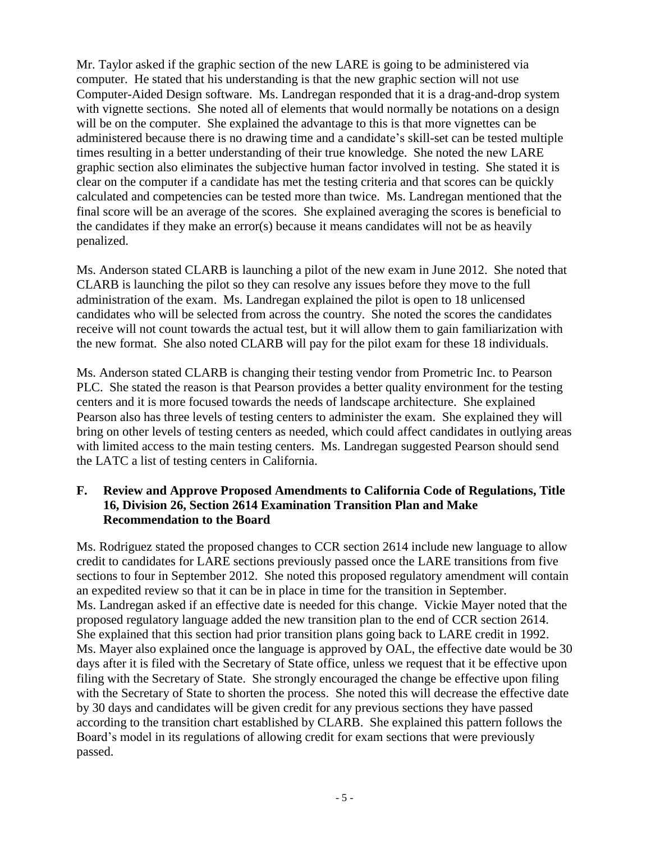Mr. Taylor asked if the graphic section of the new LARE is going to be administered via computer. He stated that his understanding is that the new graphic section will not use Computer-Aided Design software. Ms. Landregan responded that it is a drag-and-drop system with vignette sections. She noted all of elements that would normally be notations on a design will be on the computer. She explained the advantage to this is that more vignettes can be administered because there is no drawing time and a candidate's skill-set can be tested multiple times resulting in a better understanding of their true knowledge. She noted the new LARE graphic section also eliminates the subjective human factor involved in testing. She stated it is clear on the computer if a candidate has met the testing criteria and that scores can be quickly calculated and competencies can be tested more than twice. Ms. Landregan mentioned that the final score will be an average of the scores. She explained averaging the scores is beneficial to the candidates if they make an error(s) because it means candidates will not be as heavily penalized.

Ms. Anderson stated CLARB is launching a pilot of the new exam in June 2012. She noted that CLARB is launching the pilot so they can resolve any issues before they move to the full administration of the exam. Ms. Landregan explained the pilot is open to 18 unlicensed candidates who will be selected from across the country. She noted the scores the candidates receive will not count towards the actual test, but it will allow them to gain familiarization with the new format. She also noted CLARB will pay for the pilot exam for these 18 individuals.

Ms. Anderson stated CLARB is changing their testing vendor from Prometric Inc. to Pearson PLC. She stated the reason is that Pearson provides a better quality environment for the testing centers and it is more focused towards the needs of landscape architecture. She explained Pearson also has three levels of testing centers to administer the exam. She explained they will bring on other levels of testing centers as needed, which could affect candidates in outlying areas with limited access to the main testing centers. Ms. Landregan suggested Pearson should send the LATC a list of testing centers in California.

#### **F. Review and Approve Proposed Amendments to California Code of Regulations, Title 16, Division 26, Section 2614 Examination Transition Plan and Make Recommendation to the Board**

Ms. Rodriguez stated the proposed changes to CCR section 2614 include new language to allow credit to candidates for LARE sections previously passed once the LARE transitions from five sections to four in September 2012. She noted this proposed regulatory amendment will contain an expedited review so that it can be in place in time for the transition in September. Ms. Landregan asked if an effective date is needed for this change. Vickie Mayer noted that the proposed regulatory language added the new transition plan to the end of CCR section 2614. She explained that this section had prior transition plans going back to LARE credit in 1992. Ms. Mayer also explained once the language is approved by OAL, the effective date would be 30 days after it is filed with the Secretary of State office, unless we request that it be effective upon filing with the Secretary of State. She strongly encouraged the change be effective upon filing with the Secretary of State to shorten the process. She noted this will decrease the effective date by 30 days and candidates will be given credit for any previous sections they have passed according to the transition chart established by CLARB. She explained this pattern follows the Board's model in its regulations of allowing credit for exam sections that were previously passed.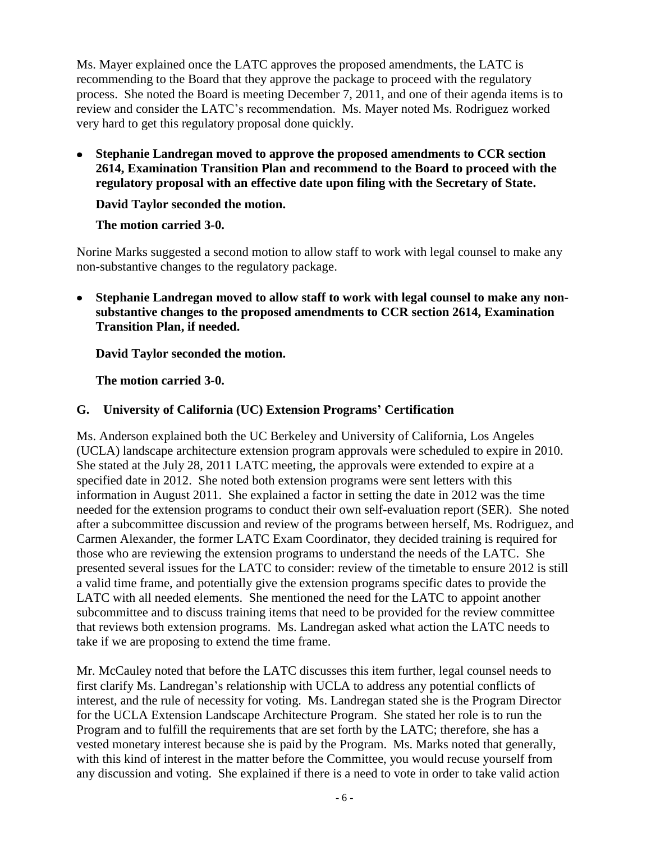Ms. Mayer explained once the LATC approves the proposed amendments, the LATC is recommending to the Board that they approve the package to proceed with the regulatory process. She noted the Board is meeting December 7, 2011, and one of their agenda items is to review and consider the LATC's recommendation. Ms. Mayer noted Ms. Rodriguez worked very hard to get this regulatory proposal done quickly.

**Stephanie Landregan moved to approve the proposed amendments to CCR section 2614, Examination Transition Plan and recommend to the Board to proceed with the regulatory proposal with an effective date upon filing with the Secretary of State.**

#### **David Taylor seconded the motion.**

## **The motion carried 3-0.**

Norine Marks suggested a second motion to allow staff to work with legal counsel to make any non-substantive changes to the regulatory package.

**Stephanie Landregan moved to allow staff to work with legal counsel to make any nonsubstantive changes to the proposed amendments to CCR section 2614, Examination Transition Plan, if needed.**

## **David Taylor seconded the motion.**

## **The motion carried 3-0.**

## **G. University of California (UC) Extension Programs' Certification**

Ms. Anderson explained both the UC Berkeley and University of California, Los Angeles (UCLA) landscape architecture extension program approvals were scheduled to expire in 2010. She stated at the July 28, 2011 LATC meeting, the approvals were extended to expire at a specified date in 2012. She noted both extension programs were sent letters with this information in August 2011. She explained a factor in setting the date in 2012 was the time needed for the extension programs to conduct their own self-evaluation report (SER). She noted after a subcommittee discussion and review of the programs between herself, Ms. Rodriguez, and Carmen Alexander, the former LATC Exam Coordinator, they decided training is required for those who are reviewing the extension programs to understand the needs of the LATC. She presented several issues for the LATC to consider: review of the timetable to ensure 2012 is still a valid time frame, and potentially give the extension programs specific dates to provide the LATC with all needed elements. She mentioned the need for the LATC to appoint another subcommittee and to discuss training items that need to be provided for the review committee that reviews both extension programs. Ms. Landregan asked what action the LATC needs to take if we are proposing to extend the time frame.

Mr. McCauley noted that before the LATC discusses this item further, legal counsel needs to first clarify Ms. Landregan's relationship with UCLA to address any potential conflicts of interest, and the rule of necessity for voting. Ms. Landregan stated she is the Program Director for the UCLA Extension Landscape Architecture Program. She stated her role is to run the Program and to fulfill the requirements that are set forth by the LATC; therefore, she has a vested monetary interest because she is paid by the Program. Ms. Marks noted that generally, with this kind of interest in the matter before the Committee, you would recuse yourself from any discussion and voting. She explained if there is a need to vote in order to take valid action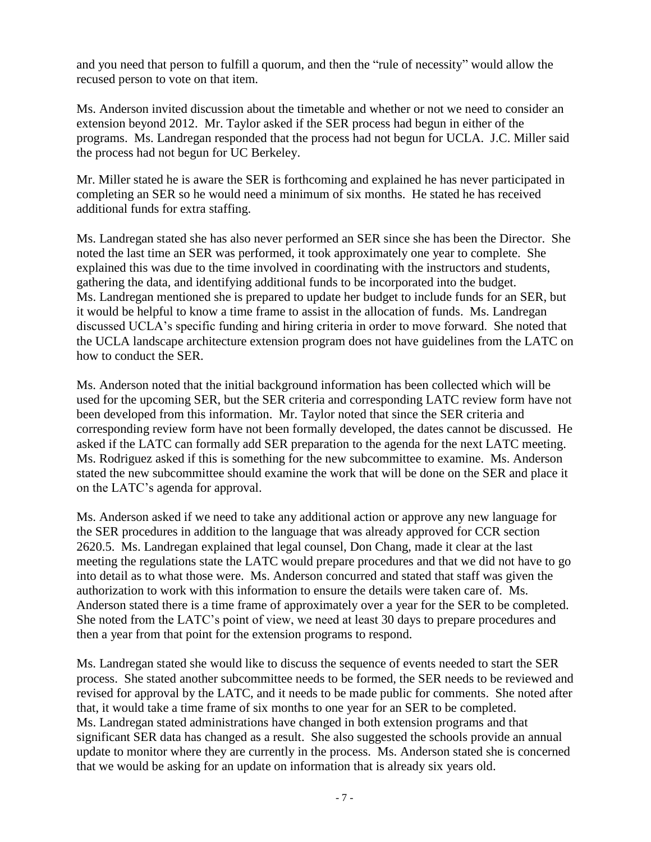and you need that person to fulfill a quorum, and then the "rule of necessity" would allow the recused person to vote on that item.

Ms. Anderson invited discussion about the timetable and whether or not we need to consider an extension beyond 2012. Mr. Taylor asked if the SER process had begun in either of the programs. Ms. Landregan responded that the process had not begun for UCLA. J.C. Miller said the process had not begun for UC Berkeley.

Mr. Miller stated he is aware the SER is forthcoming and explained he has never participated in completing an SER so he would need a minimum of six months. He stated he has received additional funds for extra staffing.

Ms. Landregan stated she has also never performed an SER since she has been the Director. She noted the last time an SER was performed, it took approximately one year to complete. She explained this was due to the time involved in coordinating with the instructors and students, gathering the data, and identifying additional funds to be incorporated into the budget. Ms. Landregan mentioned she is prepared to update her budget to include funds for an SER, but it would be helpful to know a time frame to assist in the allocation of funds. Ms. Landregan discussed UCLA's specific funding and hiring criteria in order to move forward. She noted that the UCLA landscape architecture extension program does not have guidelines from the LATC on how to conduct the SER.

Ms. Anderson noted that the initial background information has been collected which will be used for the upcoming SER, but the SER criteria and corresponding LATC review form have not been developed from this information. Mr. Taylor noted that since the SER criteria and corresponding review form have not been formally developed, the dates cannot be discussed. He asked if the LATC can formally add SER preparation to the agenda for the next LATC meeting. Ms. Rodriguez asked if this is something for the new subcommittee to examine. Ms. Anderson stated the new subcommittee should examine the work that will be done on the SER and place it on the LATC's agenda for approval.

Ms. Anderson asked if we need to take any additional action or approve any new language for the SER procedures in addition to the language that was already approved for CCR section 2620.5. Ms. Landregan explained that legal counsel, Don Chang, made it clear at the last meeting the regulations state the LATC would prepare procedures and that we did not have to go into detail as to what those were. Ms. Anderson concurred and stated that staff was given the authorization to work with this information to ensure the details were taken care of. Ms. Anderson stated there is a time frame of approximately over a year for the SER to be completed. She noted from the LATC's point of view, we need at least 30 days to prepare procedures and then a year from that point for the extension programs to respond.

Ms. Landregan stated she would like to discuss the sequence of events needed to start the SER process. She stated another subcommittee needs to be formed, the SER needs to be reviewed and revised for approval by the LATC, and it needs to be made public for comments. She noted after that, it would take a time frame of six months to one year for an SER to be completed. Ms. Landregan stated administrations have changed in both extension programs and that significant SER data has changed as a result. She also suggested the schools provide an annual update to monitor where they are currently in the process. Ms. Anderson stated she is concerned that we would be asking for an update on information that is already six years old.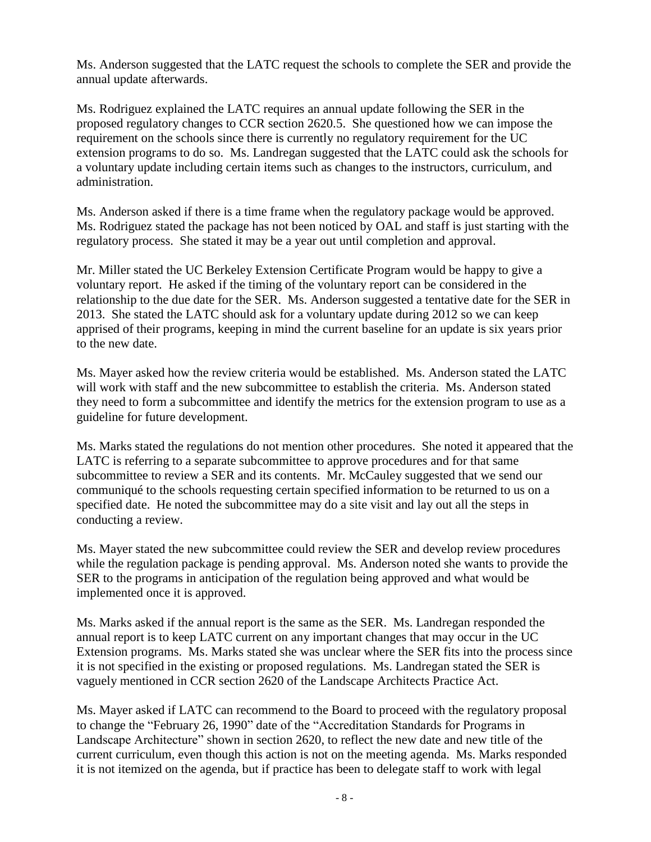Ms. Anderson suggested that the LATC request the schools to complete the SER and provide the annual update afterwards.

Ms. Rodriguez explained the LATC requires an annual update following the SER in the proposed regulatory changes to CCR section 2620.5. She questioned how we can impose the requirement on the schools since there is currently no regulatory requirement for the UC extension programs to do so. Ms. Landregan suggested that the LATC could ask the schools for a voluntary update including certain items such as changes to the instructors, curriculum, and administration.

Ms. Anderson asked if there is a time frame when the regulatory package would be approved. Ms. Rodriguez stated the package has not been noticed by OAL and staff is just starting with the regulatory process. She stated it may be a year out until completion and approval.

Mr. Miller stated the UC Berkeley Extension Certificate Program would be happy to give a voluntary report. He asked if the timing of the voluntary report can be considered in the relationship to the due date for the SER. Ms. Anderson suggested a tentative date for the SER in 2013. She stated the LATC should ask for a voluntary update during 2012 so we can keep apprised of their programs, keeping in mind the current baseline for an update is six years prior to the new date.

Ms. Mayer asked how the review criteria would be established. Ms. Anderson stated the LATC will work with staff and the new subcommittee to establish the criteria. Ms. Anderson stated they need to form a subcommittee and identify the metrics for the extension program to use as a guideline for future development.

Ms. Marks stated the regulations do not mention other procedures. She noted it appeared that the LATC is referring to a separate subcommittee to approve procedures and for that same subcommittee to review a SER and its contents. Mr. McCauley suggested that we send our communiqué to the schools requesting certain specified information to be returned to us on a specified date. He noted the subcommittee may do a site visit and lay out all the steps in conducting a review.

Ms. Mayer stated the new subcommittee could review the SER and develop review procedures while the regulation package is pending approval. Ms. Anderson noted she wants to provide the SER to the programs in anticipation of the regulation being approved and what would be implemented once it is approved.

Ms. Marks asked if the annual report is the same as the SER. Ms. Landregan responded the annual report is to keep LATC current on any important changes that may occur in the UC Extension programs. Ms. Marks stated she was unclear where the SER fits into the process since it is not specified in the existing or proposed regulations. Ms. Landregan stated the SER is vaguely mentioned in CCR section 2620 of the Landscape Architects Practice Act.

Ms. Mayer asked if LATC can recommend to the Board to proceed with the regulatory proposal to change the "February 26, 1990" date of the "Accreditation Standards for Programs in Landscape Architecture" shown in section 2620, to reflect the new date and new title of the current curriculum, even though this action is not on the meeting agenda. Ms. Marks responded it is not itemized on the agenda, but if practice has been to delegate staff to work with legal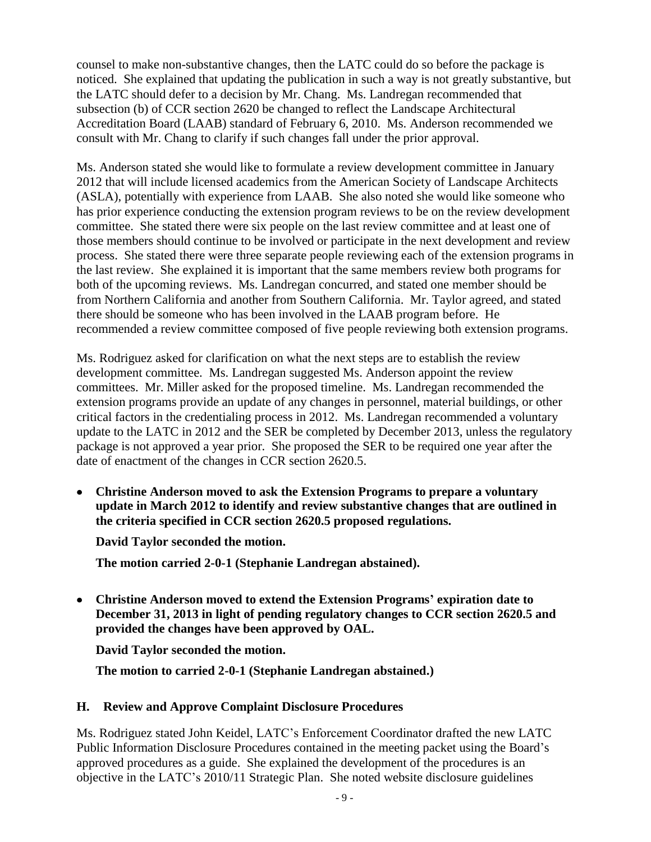counsel to make non-substantive changes, then the LATC could do so before the package is noticed. She explained that updating the publication in such a way is not greatly substantive, but the LATC should defer to a decision by Mr. Chang. Ms. Landregan recommended that subsection (b) of CCR section 2620 be changed to reflect the Landscape Architectural Accreditation Board (LAAB) standard of February 6, 2010. Ms. Anderson recommended we consult with Mr. Chang to clarify if such changes fall under the prior approval.

Ms. Anderson stated she would like to formulate a review development committee in January 2012 that will include licensed academics from the American Society of Landscape Architects (ASLA), potentially with experience from LAAB. She also noted she would like someone who has prior experience conducting the extension program reviews to be on the review development committee. She stated there were six people on the last review committee and at least one of those members should continue to be involved or participate in the next development and review process. She stated there were three separate people reviewing each of the extension programs in the last review. She explained it is important that the same members review both programs for both of the upcoming reviews. Ms. Landregan concurred, and stated one member should be from Northern California and another from Southern California. Mr. Taylor agreed, and stated there should be someone who has been involved in the LAAB program before. He recommended a review committee composed of five people reviewing both extension programs.

Ms. Rodriguez asked for clarification on what the next steps are to establish the review development committee. Ms. Landregan suggested Ms. Anderson appoint the review committees. Mr. Miller asked for the proposed timeline. Ms. Landregan recommended the extension programs provide an update of any changes in personnel, material buildings, or other critical factors in the credentialing process in 2012. Ms. Landregan recommended a voluntary update to the LATC in 2012 and the SER be completed by December 2013, unless the regulatory package is not approved a year prior. She proposed the SER to be required one year after the date of enactment of the changes in CCR section 2620.5.

**Christine Anderson moved to ask the Extension Programs to prepare a voluntary update in March 2012 to identify and review substantive changes that are outlined in the criteria specified in CCR section 2620.5 proposed regulations.** 

**David Taylor seconded the motion.**

**The motion carried 2-0-1 (Stephanie Landregan abstained).**

**Christine Anderson moved to extend the Extension Programs' expiration date to December 31, 2013 in light of pending regulatory changes to CCR section 2620.5 and provided the changes have been approved by OAL.**

**David Taylor seconded the motion.**

**The motion to carried 2-0-1 (Stephanie Landregan abstained.)**

#### **H. Review and Approve Complaint Disclosure Procedures**

Ms. Rodriguez stated John Keidel, LATC's Enforcement Coordinator drafted the new LATC Public Information Disclosure Procedures contained in the meeting packet using the Board's approved procedures as a guide. She explained the development of the procedures is an objective in the LATC's 2010/11 Strategic Plan. She noted website disclosure guidelines